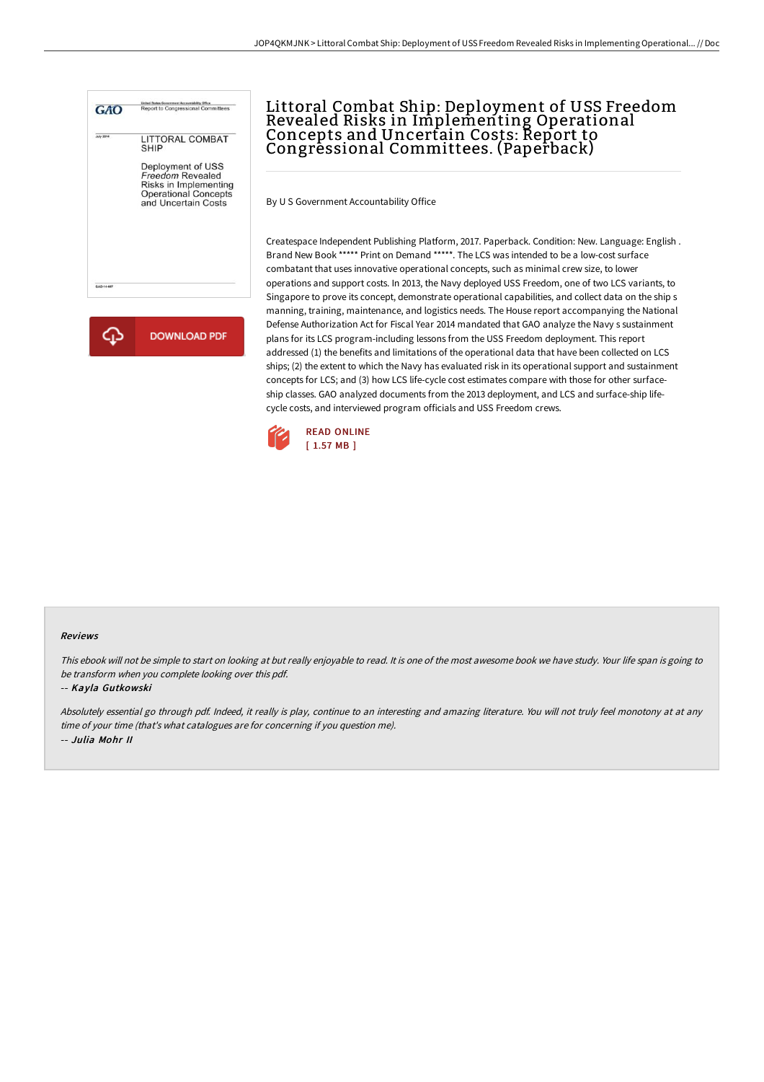



# Littoral Combat Ship: Deployment of USS Freedom Revealed Risks in Implementing Operational Concepts and Uncertain Costs: Report to Congressional Committees. (Paperback)

By U S Government Accountability Office

Createspace Independent Publishing Platform, 2017. Paperback. Condition: New. Language: English . Brand New Book \*\*\*\*\* Print on Demand \*\*\*\*\*. The LCS was intended to be a low-cost surface combatant that uses innovative operational concepts, such as minimal crew size, to lower operations and support costs. In 2013, the Navy deployed USS Freedom, one of two LCS variants, to Singapore to prove its concept, demonstrate operational capabilities, and collect data on the ship s manning, training, maintenance, and logistics needs. The House report accompanying the National Defense Authorization Act for Fiscal Year 2014 mandated that GAO analyze the Navy s sustainment plans for its LCS program-including lessons from the USS Freedom deployment. This report addressed (1) the benefits and limitations of the operational data that have been collected on LCS ships; (2) the extent to which the Navy has evaluated risk in its operational support and sustainment concepts for LCS; and (3) how LCS life-cycle cost estimates compare with those for other surfaceship classes. GAO analyzed documents from the 2013 deployment, and LCS and surface-ship lifecycle costs, and interviewed program officials and USS Freedom crews.



### Reviews

This ebook will not be simple to start on looking at but really enjoyable to read. It is one of the most awesome book we have study. Your life span is going to be transform when you complete looking over this pdf.

#### -- Kayla Gutkowski

Absolutely essential go through pdf. Indeed, it really is play, continue to an interesting and amazing literature. You will not truly feel monotony at at any time of your time (that's what catalogues are for concerning if you question me). -- Julia Mohr II